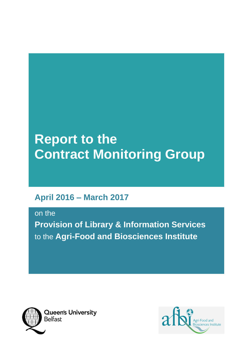# **Report to the Contract Monitoring Group**

# **April 2016 – March 2017**

on the

**Provision of Library & Information Services**  to the **Agri-Food and Biosciences Institute** 



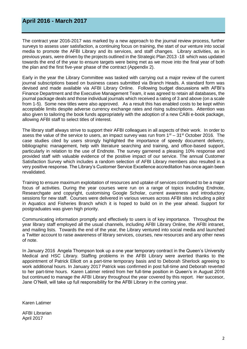# **April 2016 - March 2017**

The contract year 2016-2017 was marked by a new approach to the journal review process, further surveys to assess user satisfaction, a continuing focus on training, the start of our venture into social media to promote the AFBI Library and its services, and staff changes. Library activities, as in previous years, were driven by the projects outlined in the Strategic Plan 2013 -18 which was updated towards the end of the year to ensure targets were being met as we move into the final year of both the plan and the first five-year phase of the contract (Appendix 2).

Early in the year the Library Committee was tasked with carrying out a major review of the current journal subscriptions based on business cases submitted via Branch Heads. A standard form was devised and made available via AFBI Library Online. Following budget discussions with AFBI's Finance Department and the Executive Management Team, it was agreed to retain all databases, the journal package deals and those individual journals which received a rating of 3 and above (on a scale from 1-5). Some new titles were also approved. As a result this has enabled costs to be kept within acceptable limits despite adverse currency exchange rates and rising subscriptions. Attention was also given to tailoring the book funds appropriately with the adoption of a new CABi e-book package, allowing AFBI staff to select titles of interest.

The library staff always strive to support their AFBI colleagues in all aspects of their work. In order to asess the value of the service to users, an impact survey was run from  $1<sup>st</sup> - 31<sup>st</sup>$  October 2016. The case studies cited by users strongly highlighted the importance of speedy document delivery, bibliographic management, help with literature searching and training, and office-based support, particularly in relation to the use of Endnote. The survey garnered a pleasing 10% response and provided staff with valuable evidence of the positive impact of our service. The annual Customer Satisfaction Survey which includes a random selection of AFBI Library members also resulted in a very positive response. The Library's Customer Service Excellence accreditation has once again been revalidated.

Training to ensure maximum exploitation of resources and uptake of services continued to be a major focus of activities. During the year courses were run on a range of topics including Endnote, Researchgate and copyright, customising Google Scholar, current awareness and introductory sessions for new staff. Courses were delivered in various venues across AFBI sites including a pilot in Aquatics and Fisheries Branch which it is hoped to build on in the year ahead. Support for postgraduates was given high priority.

Communicating information promptly and effectively to users is of key importance. Throughout the year library staff employed all the usual channels, including AFBI Library Online, the AFBI intranet, and mailing lists. Towards the end of the year, the Library ventured into social media and launched a Twitter account to raise awareness of library services, courses, new resources and any other news of note.

In January 2016 Angela Thompson took up a one year temporary contract in the Queen's University Medical and HSC Library. Staffing problems in the AFBI Library were averted thanks to the appointment of Patrick Elliott on a part-time temporary basis and to Deborah Sherlock agreeing to work additional hours. In January 2017 Patrick was confirmed in post full-time and Deborah reverted to her part-time hours. Karen Latimer retired from her full-time position in Queen's in August 2016 but continued to manage the AFBI Library throughout the year covered by this report. Her succesor, Jane O'Neill, will take up full responsibility for the AFBI Library in the coming year.

Karen Latimer

AFBI Librarian April 2017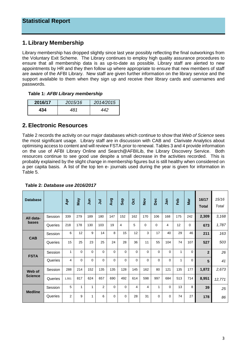# **1. Library Membership**

Library membership has dropped slightly since last year possibly reflecting the final outworkings from the Voluntary Exit Scheme. The Library continues to employ high quality assurance procedures to ensure that all membership data is as up-to-date as possible. Library staff are alerted to new appointments by HR and they then follow up where appropriate to ensure that new members of staff are aware of the AFBI Library. New staff are given further information on the library service and the support available to them when they sign up and receive their library cards and usernames and passwords.

#### **Table 1:** *AFBI Library membership*

| 2016/17 | 2015/16 | 2014/2015 |
|---------|---------|-----------|
| 434     | 1R 1    | 442       |

# **2. Electronic Resources**

Table 2 records the activity on our major databases which continue to show that *Web of Science* sees the most significant usage. Library staff are in discussion with CAB and Clarivate Analytics about optimising access to content and will review FSTA prior to renewal. Tables 3 and 4 provide information on the use of AFBI Library Online and Search@AFBILib, the Library Discovery Service. Both resources continue to see good use despite a small decrease in the activities recorded. This is probably explained by the slight change in membership figures but is still healthy when considered on a per capita basis. A list of the top ten e- journals used during the year is given for information in Table 5.

| <b>Database</b> |         | Apr            | <b>May</b> | $\overline{5}$ | $\overline{5}$ | Aug      | Sep      | Oct      | $\frac{5}{2}$ | Dec      | Jan      | Feb | Mar      | 16/17<br><b>Total</b> | 15/16<br>Total |
|-----------------|---------|----------------|------------|----------------|----------------|----------|----------|----------|---------------|----------|----------|-----|----------|-----------------------|----------------|
| All data-       | Session | 339            | 279        | 189            | 180            | 147      | 152      | 162      | 170           | 106      | 168      | 175 | 242      | 2,309                 | 3,168          |
| bases           | Queries | 218            | 178        | 130            | 103            | 19       | 4        | 5        | $\Omega$      | $\Omega$ | 4        | 12  | $\Omega$ | 673                   | 1,787          |
| <b>CAB</b>      | Session | 6              | 12         | 9              | 14             | 8        | 15       | 12       | 3             | 17       | 40       | 29  | 46       | 211                   | 163            |
|                 | Queries | 15             | 25         | 23             | 25             | 24       | 28       | 36       | 11            | 55       | 104      | 74  | 107      | 527                   | 503            |
| <b>FSTA</b>     | Session | 1              | 0          | $\Omega$       | $\Omega$       | $\Omega$ | $\Omega$ | 0        | 0             | 0        | $\Omega$ | 1   | $\Omega$ | $\overline{2}$        | 26             |
|                 | Queries | 4              | $\Omega$   | $\Omega$       | $\Omega$       | $\Omega$ | $\Omega$ | $\Omega$ | $\Omega$      | 0        | $\Omega$ | 1   | $\Omega$ | 5                     | 41             |
| Web of          | Session | 288            | 214        | 152            | 135            | 135      | 128      | 145      | 162           | 80       | 121      | 135 | 177      | 1,872                 | 2,673          |
| <b>Science</b>  | Queries | 1.551          | 817        | 624            | 657            | 690      | 492      | 614      | 598           | 997      | 684      | 513 | 714      | 8,951                 | 12,771         |
| <b>Medline</b>  | Session | 5              | 1          | 1              | 2              | $\Omega$ | $\Omega$ | 4        | 4             | 1        | $\Omega$ | 13  | 8        | 39                    | 25             |
|                 | Queries | $\overline{2}$ | 9          | 1              | 6              | $\Omega$ | $\Omega$ | 28       | 31            | 0        | $\Omega$ | 74  | 27       | 178                   | 86             |

**Table 2:** *Database use 2016/2017*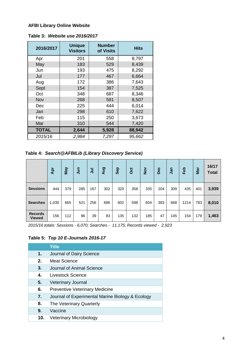#### **AFBI Library Online Website**

| Table 3: Website use 2016/2017 |
|--------------------------------|
|--------------------------------|

| 2016/2017    | <b>Unique</b><br><b>Visitors</b> | <b>Number</b><br>of Visits | <b>Hits</b> |
|--------------|----------------------------------|----------------------------|-------------|
| Apr          | 201                              | 558                        | 8,797       |
| May          | 183                              | 529                        | 8,439       |
| Jun          | 193                              | 475                        | 8,292       |
| Jul          | 177                              | 467                        | 6,664       |
| Aug          | 172                              | 386                        | 7,643       |
| Sept         | 154                              | 387                        | 7,525       |
| Oct          | 348                              | 687                        | 8,346       |
| Nov          | 268                              | 591                        | 8,507       |
| Dec          | 225                              | 444                        | 6,014       |
| Jan          | 298                              | 610                        | 7,622       |
| Feb          | 115                              | 250                        | 3,673       |
| Mar          | 310                              | 544                        | 7,420       |
| <b>TOTAL</b> | 2,644                            | 5,928                      | 88,942      |
| 2015/16      | 2,984                            | 7,297                      | 95,662      |

**Table 4:** *Search@AFBILib (Library Discovery Service)*

|                                 | Apr   | VeM | $\Xi$ | ミ   | <b>Qny</b> | <b>Sep</b> | $\ddot{\mathrm{c}}$ | $\sum_{i=1}^{n}$ | Dec | Jan | Feb  | Mar | 16/17<br><b>Total</b> |
|---------------------------------|-------|-----|-------|-----|------------|------------|---------------------|------------------|-----|-----|------|-----|-----------------------|
| <b>Sessions</b>                 | 444   | 379 | 285   | 167 | 302        | 320        | 358                 | 335              | 204 | 309 | 435  | 401 | 3,939                 |
| <b>Searches</b>                 | 1,030 | 665 | 521   | 256 | 686        | 602        | 598                 | 604              | 383 | 668 | 1214 | 783 | 8,010                 |
| <b>Records</b><br><b>Viewed</b> | 156   | 112 | 96    | 39  | 83         | 135        | 132                 | 185              | 47  | 145 | 154  | 179 | 1,463                 |

*2015/16 totals: Sessions - 6,070; Searches - 11.175; Records viewed - 2,923*

### **Table 5:** *Top 10 E-Journals 2016-17*

|     | <b>Title</b>                                     |
|-----|--------------------------------------------------|
| 1.  | Journal of Dairy Science                         |
| 2.  | <b>Meat Science</b>                              |
| 3.  | Journal of Animal Science                        |
| 4.  | Livestock Science                                |
| 5.  | <b>Veterinary Journal</b>                        |
| 6.  | <b>Preventive Veterinary Medicine</b>            |
| 7.  | Journal of Experimental Marine Biology & Ecology |
| 8.  | The Veterinary Quarterly                         |
| 9.  | Vaccine                                          |
| 10. | <b>Veterinary Microbiology</b>                   |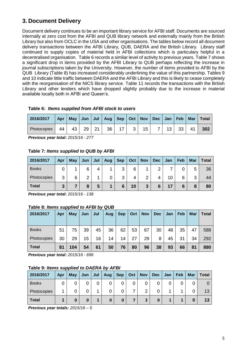# **3. Document Delivery**

Document delivery continues to be an important library service for AFBI staff. Documents are sourced internally at zero cost from the AFBI and QUB library network and externally mainly from the British Library but also from OCLC in the USA and other organisations. The tables below record all document delivery transactions between the AFBI Library, QUB, DAERA and the British Library. Library staff continued to supply copies of material held in AFBI collections which is particulary helpful in a decentralised organisation. Table 6 records a similar level of activity to previous years. Table 7 shows a significant drop in items provided by the AFBI Library to QUB perhaps reflecting the increase in journal subscriptions taken by the University. However, the number of items provided to AFBI by the QUB Library (Table 8) has increased considerably underlining the value of this partnership. Tables 9 and 10 indicate little traffic between DAERA and the AFBI Library and this is likely to cease completely with the reorganisation of the NICS library service. Table 11 records the transactions with the British Library and other lenders which have dropped slightly probably due to the increase in material available locally both in AFBI and Queen's.

| 2016/2017   | Apr |    |    |    | May   Jun   Jul   Aug   Sep   Oct   Nov   Dec   Jan   Feb |    |   |    |    |    | Mar | Total |
|-------------|-----|----|----|----|-----------------------------------------------------------|----|---|----|----|----|-----|-------|
| Photocopies | 44  | 43 | 29 | 21 | 36 <sub>1</sub>                                           | 17 | 3 | 15 | 13 | 33 | 41  | 302   |

#### **Table 6:** *Items supplied from AFBI stock to users*

*Previous year total: 2015/16 - 277*

#### **Table 7:** *Items supplied to QUB by AFBI*

| 2016/2017    | Apr | May | Jun | Jul | Aug | <b>Sep</b> | Oct | <b>Nov</b> | <b>Dec</b> | Jan             | Feb | <b>Mar</b> | Total |
|--------------|-----|-----|-----|-----|-----|------------|-----|------------|------------|-----------------|-----|------------|-------|
| <b>Books</b> |     |     | 6   | 4   |     | ્ર<br>ບ    | 6   |            |            |                 |     | 5          | 36    |
| Photocopies  | 3   | 6   | っ   |     |     | 3          |     | 2          |            | 10 <sup>°</sup> | 6   | 3          | 44    |
| Total        | 3   |     | 8   | 5   |     | 6          | 10  | 3          | 6          |                 | 6   | 8          | 80    |

*Previous year total: 2015/16 - 138*

#### **Table 8:** *Items supplied to AFBI by QUB*

| 2016/2017    | <b>Apr</b> | May | Jun | $\vert$ Jul | Aug | <b>Sep</b> | Oct | <b>Nov</b> | <b>Dec</b> | Jan. | Feb | Mar | <b>Total</b> |
|--------------|------------|-----|-----|-------------|-----|------------|-----|------------|------------|------|-----|-----|--------------|
|              |            |     |     |             |     |            |     |            |            |      |     |     |              |
| <b>Books</b> | 51         | 75  | 39  | 45          | 36  | 62         | 53  | 67         | 30         | 48   | 35  | 47  | 588          |
| Photocopies  | 30         | 29  | 15  | 16          | 14  | 14         | 27  | 29         | 8          | 45   | 31  | 34  | 292          |
| <b>Total</b> | 81         | 104 | 54  | 61          | 50  | 76         | 80  | 96         | 38         | 93   | 66  | 81  | 880          |

*Previous year total: 2015/16 - 696*

#### **Table 9:** *Items supplied to DAERA by AFBI*

| 2016/2017    | Apr | <b>May</b> | Jun | Jul | Aug | <b>Sep</b> | Oct | <b>Nov</b> | <b>Dec</b> | Jan | Feb | <b>Mar</b> | <b>Total</b> |
|--------------|-----|------------|-----|-----|-----|------------|-----|------------|------------|-----|-----|------------|--------------|
| <b>Books</b> |     |            | 0   | 0   |     | 0          |     |            |            |     |     |            |              |
| Photocopies  |     |            | 0   | л   |     | 0          |     | ⌒          |            |     |     |            | 13           |
| <b>Total</b> |     |            | 0   |     | 0   | 0          |     |            |            |     |     |            | 13           |

*Previous year totals: 2015/16 – 5*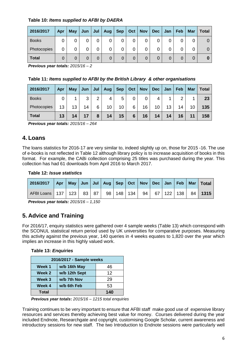### **Table 10:** *Items supplied to AFBI by DAERA*

| 2016/2017    | Apr | May | Jun | Jul | Aug          | <b>Sep</b> | Oct      | <b>Nov</b> | <b>Dec</b> | Jan | Feb | <b>Mar</b> | <b>Total</b> |
|--------------|-----|-----|-----|-----|--------------|------------|----------|------------|------------|-----|-----|------------|--------------|
| <b>Books</b> | 0   |     | 0   | 0   |              |            |          | 0          |            |     |     | 0          | O            |
| Photocopies  | 0   |     | 0   | 0   |              | 0          |          | 0          |            | 0   |     | 0          |              |
| <b>Total</b> | 0   | 0   | 0   | 0   | $\mathbf{0}$ |            | $\Omega$ | 0          |            | 0   | 0   |            | O            |

*Previous year totals: 2015/16 – 2*

**Table 11:** *Items supplied to AFBI by the British Library & other organisations*

| 2016/2017    | Apr | <b>May</b> | Jun | Jul | Aug | <b>Sep</b> | Oct | <b>Nov</b> | <b>Dec</b> | Jan | Feb | <b>Mar</b> | <b>Total</b> |
|--------------|-----|------------|-----|-----|-----|------------|-----|------------|------------|-----|-----|------------|--------------|
| <b>Books</b> | 0   |            | 3   | 2   | 4   | 5          |     | 0          | 4          |     | ⌒   |            | 23           |
| Photocopies  | 13  | 13         | 14  | 6   | 10  | 10         | 6   | 16         | 10         | 13  | 14  | 10         | 135          |
| <b>Total</b> | 13  | 14         | 17  | 8   | 14  | 15         | 6   | 16         | 14         | 14  | 16  |            | 158          |

*Previous year totals: 2015/16 – 264*

# **4. Loans**

The loans statistics for 2016-17 are very similar to, indeed slightly up on, those for 2015 -16. The use of e-books is not reflected in Table 12 although library policy is to increase acquisition of books in this format. For example, the CABi collection comprising 25 titles was purchased during the year. This collection has had 61 downloads from April 2016 to March 2017.

#### **Table 12:** *Issue statistics*

| 2016/2017   Apr   May   Jun   Jul   Aug   Sep   Oct   Nov   Dec   Jan   Feb   Mar   Total |  |  |  |  |  |  |  |
|-------------------------------------------------------------------------------------------|--|--|--|--|--|--|--|
| AFBI Loans   137   123   83   87   98   148   134   94   67   122   138   84   1315       |  |  |  |  |  |  |  |

*Previous year totals: 2015/16 – 1,150*

# **5. Advice and Training**

For 2016/17, enquiry statistics were gathered over 4 sample weeks (Table 13) which correspond with the SCONUL statistical return period used by UK universities for comparative purposes. Measuring this activity against the previous year, 140 queries in 4 weeks equates to 1,820 over the year which implies an increase in this highly valued work.

| 2016/2017 - Sample weeks |               |     |  |  |
|--------------------------|---------------|-----|--|--|
| Week 1                   | w/b 16th May  | 46  |  |  |
| Week 2                   | w/b 12th Sept | 12  |  |  |
| Week 3                   | w/b 7th Nov   | 29  |  |  |
| Week 4                   | w/b 6th Feb   | 53  |  |  |
| Total                    |               | 140 |  |  |

*Previous year totals***:** *2015/16 – 1215 total enquiries*

Training continues to be very important to ensure that AFBI staff make good use of expensive library resources and services thereby achieving best value for money. Courses delivered during the year included Endnote, Researchgate and copyright, customising Google Scholar, current awareness and introductory sessions for new staff. The two Introduction to Endnote sessions were particularly well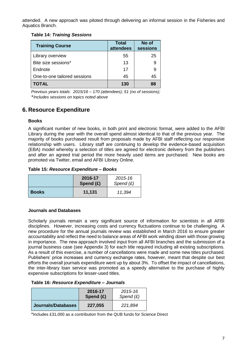attended. A new approach was piloted through delivering an informal session in the Fisheries and Aquatics Branch.

#### **Table 14:** *Training Sessions*

| <b>Training Course</b>       | <b>Total</b><br>attendees | No of<br>sessions |
|------------------------------|---------------------------|-------------------|
| Library overview             | 55                        | 25                |
| Bite size sessions*          | 13                        |                   |
| Endnote                      | 17                        |                   |
| One-to-one tailored sessions | 45                        | 45                |
| <b>TOTAL</b>                 | 130                       | 88                |

*Previous years totals: 2015/16 – 170 (attendees); 51 (no of sessions);*  \**Includes sessions on topics noted above*

# **6. Resource Expenditure**

#### **Books**

A significant number of new books, in both print and electronic format, were added to the AFBI Library during the year with the overall spend almost identical to that of the previous year. The majority of books purchased result from proposals made by AFBI staff reflecting our responsive relationship with users. Library staff are continuing to develop the evidence-based acquisition (EBA) model whereby a selection of titles are agreed for electronic delivery from the publishers and after an agreed trial period the more heavily used items are purchased. New books are promoted via Twitter, email and AFBI Library Online.

**Table 15:** *Resource Expenditure – Books*

|              | 2016-17<br>Spend $(E)$ | 2015-16<br>Spend $(E)$ |
|--------------|------------------------|------------------------|
| <b>Books</b> | 11,131                 | 11,394                 |

#### **Journals and Databases**

Scholarly journals remain a very significant source of information for scientists in all AFBI disciplines. However, increasing costs and currency fluctuations continue to be challenging. A new procedure for the annual journals review was established in March 2016 to ensure greater accountability and reflect the need to balance areas of AFBI work winding down with those growing in importance. The new approach involved input from all AFBI branches and the submission of a journal business case (see Appendix 3) for each title required including all existing subscriptions. As a result of this exercise, a number of cancellations were made and some new titles purchased. Publishers' price increases and currency exchange rates, however, meant that despite our best efforts the overall journals expenditure went up by about 3%. To offset the impact of cancellations, the inter-library loan service was promoted as a speedy alternative to the purchase of highly expensive subscriptions for lesser-used titles.

#### **Table 16:** *Resource Expenditure – Journals*

|                    | 2016-17<br>Spend $(E)$ | 2015-16<br>Spend $(E)$ |
|--------------------|------------------------|------------------------|
| Journals/Databases | 227,055                | 221,894                |

\*Includes £31,000 as a contribution from the QUB funds for Science Direct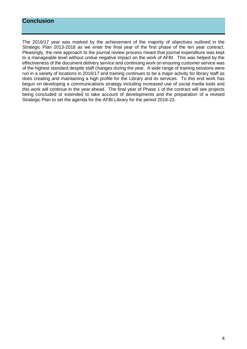# **Conclusion**

The 2016/17 year was marked by the achievement of the majority of objectives outlined in the Strategic Plan 2013-2018 as we enter the final year of the first phase of the ten year contract. Pleasingly, the new approach to the journal review process meant that journal expenditure was kept to a manageable level without undue negative impact on the work of AFBI. This was helped by the effectiveness of the document delivery service and continuing work on ensuring customer service was of the highest standard despite staff changes during the year. A wide range of training sessions were run in a variety of locations in 2016/17 and training continues to be a major activity for library staff as does creating and maintaining a high profile for the Library and its services. To this end work has begun on developing a communications strategy including increased use of social media tools and this work will continue in the year ahead. The final year of Phase 1 of the contract will see projects being concluded or extended to take account of developments and the preparation of a revised Strategic Plan to set the agenda for the AFBI Library for the period 2018-23.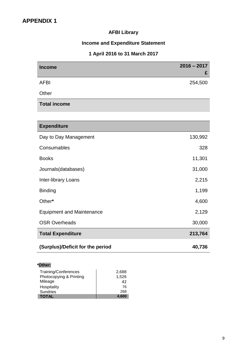# **AFBI Library**

# **Income and Expenditure Statement**

### **1 April 2016 to 31 March 2017**

| <b>Income</b>              | $2016 - 2017$<br>£ |
|----------------------------|--------------------|
| <b>AFBI</b>                | 254,500            |
| Other                      |                    |
| <b>Total income</b>        |                    |
|                            |                    |
| <b>Expenditure</b>         |                    |
| Day to Day Management      | 130,992            |
| Consumables                | 328                |
| <b>Books</b>               | 11,301             |
| Journals(databases)        | 31,000             |
| <b>Inter-library Loans</b> | 2,215              |

Binding 1,199

Other**\*** 4,600 Equipment and Maintenance 2,129 OSR Overheads 30,000 **Total Expenditure 213,764** 

### **(Surplus)/Deficit for the period 40,736**

| *Other:                 |       |
|-------------------------|-------|
| Training/Conferences    | 2,688 |
| Photocopying & Printing | 1,526 |
| Mileage                 | 42    |
| Hospitality             | 76    |
| <b>Sundries</b>         | 268   |
| <b>TOTAL</b>            | 4.600 |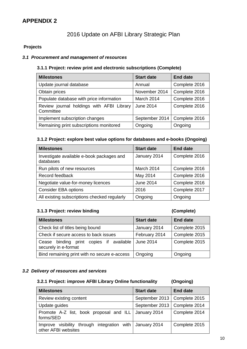# **APPENDIX 2**

# 2016 Update on AFBI Library Strategic Plan

#### **Projects**

#### *3.1 Procurement and management of resources*

#### **3.1.1 Project: review print and electronic subscriptions (Complete)**

| <b>Milestones</b>                                      | <b>Start date</b> | <b>End date</b> |
|--------------------------------------------------------|-------------------|-----------------|
| Update journal database                                | Annual            | Complete 2016   |
| Obtain prices                                          | November 2014     | Complete 2016   |
| Populate database with price information               | March 2014        | Complete 2016   |
| Review journal holdings with AFBI Library<br>Committee | <b>June 2014</b>  | Complete 2016   |
| Implement subscription changes                         | September 2014    | Complete 2016   |
| Remaining print subscriptions monitored                | Ongoing           | Ongoing         |

#### **3.1.2 Project: explore best value options for databases and e-books (Ongoing)**

| <b>Milestones</b>                                      | <b>Start date</b> | <b>End date</b> |
|--------------------------------------------------------|-------------------|-----------------|
| Investigate available e-book packages and<br>databases | January 2014      | Complete 2016   |
| Run pilots of new resources                            | March 2014        | Complete 2016   |
| Record feedback                                        | May 2014          | Complete 2016   |
| Negotiate value-for-money licences                     | <b>June 2014</b>  | Complete 2016   |
| <b>Consider EBA options</b>                            | 2016              | Complete 2017   |
| All existing subscriptions checked regularly           | Ongoing           | Ongoing         |

### **3.1.3 Project: review binding (Complete)**

| <b>Milestones</b>                                                  | <b>Start date</b> | <b>End date</b> |
|--------------------------------------------------------------------|-------------------|-----------------|
| Check list of titles being bound                                   | January 2014      | Complete 2015   |
| Check if secure access to back issues                              | February 2014     | Complete 2015   |
| binding print copies if available<br>Cease<br>securely in e-format | <b>June 2014</b>  | Complete 2015   |
| Bind remaining print with no secure e-access                       | Ongoing           | Ongoing         |

#### *3.2 Delivery of resources and services*

#### **3.2.1 Project: improve AFBI Library Online functionality (Ongoing)**

#### **Milestones Start date End date** Review existing content  $\vert$  September 2013 Complete 2015 Update guides September 2013 | Complete 2014 Promote A-Z list, book proposal and ILL forms/SED January 2014 Complete 2014 Improve visibility through integration with other AFBI websites January 2014 | Complete 2015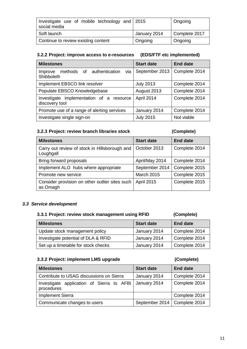| Investigate use of mobile technology and 2015<br>social media |              | Ongoing       |
|---------------------------------------------------------------|--------------|---------------|
| Soft launch                                                   | January 2014 | Complete 2017 |
| Continue to review existing content                           | Ongoing      | Ongoing       |

#### **3.2.2 Project: improve access to e-resources (EDS/FTF etc implemented)**

| <b>Milestones</b>                                             | <b>Start date</b> | <b>End date</b> |
|---------------------------------------------------------------|-------------------|-----------------|
| via<br>methods of authentication<br>Improve<br>Shibboleth     | September 2013    | Complete 2014   |
| Implement EBSCO link resolver                                 | <b>July 2013</b>  | Complete 2014   |
| Populate EBSCO Knowledgebase                                  | August 2013       | Complete 2014   |
| implementation of a resource<br>Investigate<br>discovery tool | April 2014        | Complete 2014   |
| Promote use of a range of alerting services                   | January 2014      | Complete 2014   |
| Investigate single sign-on                                    | <b>July 2015</b>  | Not viable      |

#### **3.2.3 Project: review branch libraries stock (Complete)**

| <b>Milestones</b>                                          | <b>Start date</b> | <b>End date</b> |
|------------------------------------------------------------|-------------------|-----------------|
| Carry out review of stock in Hillsborough and<br>Loughgall | October 2013      | Complete 2014   |
| Bring forward proposals                                    | April/May 2014    | Complete 2014   |
| Implement ALO hubs where appropriate                       | September 2014    | Complete 2015   |
| Promote new service                                        | <b>March 2015</b> | Complete 2015   |
| Consider provision on other outlier sites such<br>as Omagh | <b>April 2015</b> | Complete 2015   |

#### *3.3 Service development*

#### **3.3.1 Project: review stock management using RFID (Complete)**

# **Milestones Start date End date** Update stock management policy  $\vert$  January 2014  $\vert$  Complete 2014 Investigate potential of DLA & RFID | January 2014 | Complete 2014 Set up a timetable for stock checks | January 2014 | Complete 2014

#### **3.3.2 Project: implement LMS upgrade (Complete)**

| <b>Milestones</b>                                       | <b>Start date</b>              | <b>End date</b> |
|---------------------------------------------------------|--------------------------------|-----------------|
| Contribute to USAG discussions on Sierra                | January 2014                   | Complete 2014   |
| Investigate application of Sierra to AFBI<br>procedures | January 2014                   | Complete 2014   |
| <b>Implement Sierra</b>                                 |                                | Complete 2014   |
| Communicate changes to users                            | September 2014   Complete 2014 |                 |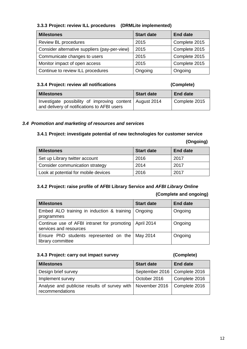#### **3.3.3 Project: review ILL procedures (DRMLite implemented)**

| <b>Milestones</b>                             | <b>Start date</b> | <b>End date</b> |
|-----------------------------------------------|-------------------|-----------------|
| Review BL procedures                          | 2015              | Complete 2015   |
| Consider alternative suppliers (pay-per-view) | 2015              | Complete 2015   |
| Communicate changes to users                  | 2015              | Complete 2015   |
| Monitor impact of open access                 | 2015              | Complete 2015   |
| Continue to review ILL procedures             | Ongoing           | Ongoing         |

#### **3.3.4 Project: review all notifications (Complete)**

| <b>Milestones</b>                                                                                       | <b>Start date</b> | <b>End date</b> |
|---------------------------------------------------------------------------------------------------------|-------------------|-----------------|
| Investigate possibility of improving content August 2014<br>and delivery of notifications to AFBI users |                   | Complete 2015   |

#### *3.4 Promotion and marketing of resources and services*

#### **3.4.1 Project: investigate potential of new technologies for customer service**

| <b>Milestones</b>                    | <b>Start date</b> | <b>End date</b> |
|--------------------------------------|-------------------|-----------------|
| Set up Library twitter account       | 2016              | 2017            |
| Consider communication strategy      | 2014              | 2017            |
| Look at potential for mobile devices | 2016              | 2017            |

# **3.4.2 Project: raise profile of AFBI Library Service and** *AFBI Library Online*

#### **(Complete and ongoing)**

 **(Ongoing)**

| <b>Milestones</b>                                                      | <b>Start date</b> | <b>End date</b> |
|------------------------------------------------------------------------|-------------------|-----------------|
| Embed ALO training in induction & training<br>programmes               | Ongoing           | Ongoing         |
| Continue use of AFBI intranet for promoting<br>services and resources  | April 2014        | Ongoing         |
| Ensure PhD students represented on the   May 2014<br>library committee |                   | Ongoing         |

#### **3.4.3 Project: carry out impact survey (Complete)**

| <b>Milestones</b>                                                               | <b>Start date</b>              | <b>End date</b> |
|---------------------------------------------------------------------------------|--------------------------------|-----------------|
| Design brief survey                                                             | September 2016   Complete 2016 |                 |
| Implement survey                                                                | October 2016                   | Complete 2016   |
| Analyse and publicise results of survey with   November 2016<br>recommendations |                                | Complete 2016   |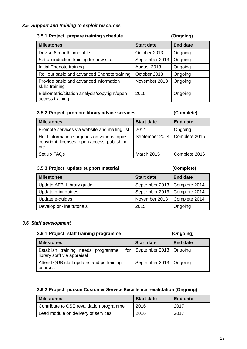#### *3.5 Support and training to exploit resources*

#### **3.5.1 Project: prepare training schedule (Ongoing)**

#### **Milestones Start date End date** Devise 6 month timetable **Devise 6** month timetable **Devise October 2013** | Ongoing Set up induction training for new staff September 2013 | Ongoing Initial Endnote training and August 2013 | Ongoing Roll out basic and advanced Endnote training | October 2013 | Ongoing Provide basic and advanced information skills training November 2013 | Ongoing Bibliometric/citation analysis/copyright/open access training 2015 Ongoing

#### **3.5.2 Project: promote library advice services (Complete)**

| <b>Milestones</b>                                                                                    | <b>Start date</b>              | <b>End date</b> |
|------------------------------------------------------------------------------------------------------|--------------------------------|-----------------|
| Promote services via website and mailing list                                                        | 2014                           | Ongoing         |
| Hold information surgeries on various topics:<br>copyright, licenses, open access, publishing<br>etc | September 2014   Complete 2015 |                 |
| Set up FAQs                                                                                          | <b>March 2015</b>              | Complete 2016   |

#### **3.5.3 Project: update support material (Complete)**

| <b>Milestones</b>         | <b>Start date</b>              | <b>End date</b> |
|---------------------------|--------------------------------|-----------------|
| Update AFBI Library guide | September 2013   Complete 2014 |                 |
| Update print guides       | September 2013   Complete 2014 |                 |
| Update e-guides           | November 2013                  | Complete 2014   |
| Develop on-line tutorials | 2015                           | Ongoing         |

#### *3.6 Staff development*

#### **3.6.1 Project: staff training programme (Ongoing)**

| <b>Milestones</b>                                                 | <b>Start date</b>              | <b>End date</b> |
|-------------------------------------------------------------------|--------------------------------|-----------------|
| Establish training needs programme<br>library staff via appraisal | for   September 2013   Ongoing |                 |
| Attend QUB staff updates and pc training<br>courses               | September 2013   Ongoing       |                 |

#### **3.6.2 Project: pursue Customer Service Excellence revalidation (Ongoing)**

| <b>Milestones</b>                        | <b>Start date</b> | End date |
|------------------------------------------|-------------------|----------|
| Contribute to CSE revalidation programme | 2016              | 2017     |
| Lead module on delivery of services      | 2016              | 2017     |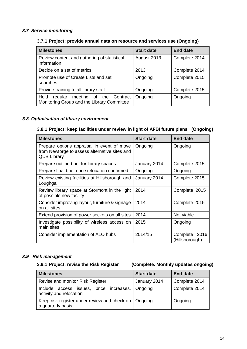### *3.7 Service monitoring*

### **3.7.1 Project: provide annual data on resource and services use (Ongoing)**

| <b>Milestones</b>                                                                        | <b>Start date</b> | <b>End date</b> |
|------------------------------------------------------------------------------------------|-------------------|-----------------|
| Review content and gathering of statistical<br>information                               | August 2013       | Complete 2014   |
| Decide on a set of metrics                                                               | 2013              | Complete 2014   |
| Promote use of Create Lists and set<br>searches                                          | Ongoing           | Complete 2015   |
| Provide training to all library staff                                                    | Ongoing           | Complete 2015   |
| Hold<br>meeting of the Contract<br>regular<br>Monitoring Group and the Library Committee | Ongoing           | Ongoing         |

#### *3.8 Optimisation of library environment*

#### **3.8.1 Project: keep facilities under review in light of AFBI future plans (Ongoing)**

| <b>Milestones</b>                                                                                                 | <b>Start date</b>             | <b>End date</b>                    |  |
|-------------------------------------------------------------------------------------------------------------------|-------------------------------|------------------------------------|--|
| Prepare options appraisal in event of move<br>from Newforge to assess alternative sites and<br><b>QUB Library</b> | Ongoing                       | Ongoing                            |  |
| Prepare outline brief for library spaces                                                                          | January 2014                  | Complete 2015                      |  |
| Prepare final brief once relocation confirmed                                                                     | Ongoing                       | Ongoing                            |  |
| Review existing facilities at Hillsborough and<br>Loughgall                                                       | January 2014<br>Complete 2015 |                                    |  |
| Review library space at Stormont in the light<br>of possible new facility                                         | 2014                          | Complete 2015                      |  |
| Consider improving layout, furniture & signage<br>on all sites                                                    | 2014                          | Complete 2015                      |  |
| Extend provision of power sockets on all sites                                                                    | 2014                          | Not viable                         |  |
| Investigate possibility of wireless access on<br>main sites                                                       | 2015                          | Ongoing                            |  |
| Consider implementation of ALO hubs                                                                               | 2014/15                       | 2016<br>Complete<br>(Hillsborough) |  |

#### *3.9 Risk management*

**3.9.1 Project: revise the Risk Register (Complete. Monthly updates ongoing)**

| <b>Milestones</b>                                                           | <b>Start date</b> | <b>End date</b> |
|-----------------------------------------------------------------------------|-------------------|-----------------|
| Revise and monitor Risk Register                                            | January 2014      | Complete 2014   |
| Include access issues, price increases, Ongoing<br>activity and relocation  |                   | Complete 2014   |
| Keep risk register under review and check on   Ongoing<br>a quarterly basis |                   | Ongoing         |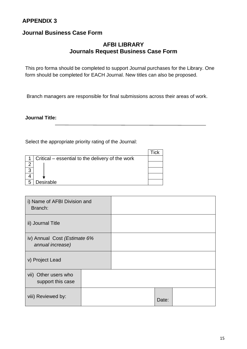# **APPENDIX 3**

# **Journal Business Case Form**

# **AFBI LIBRARY Journals Request Business Case Form**

This pro forma should be completed to support Journal purchases for the Library. One form should be completed for EACH Journal. New titles can also be proposed.

Branch managers are responsible for final submissions across their areas of work.

**Journal Title:** 

Select the appropriate priority rating of the Journal:

|   | Critical – essential to the delivery of the work |  |
|---|--------------------------------------------------|--|
|   |                                                  |  |
| 2 |                                                  |  |
|   |                                                  |  |
| 5 | Desirable                                        |  |

| i) Name of AFBI Division and<br>Branch:          |  |       |  |
|--------------------------------------------------|--|-------|--|
| ii) Journal Title                                |  |       |  |
| iv) Annual Cost (Estimate 6%<br>annual increase) |  |       |  |
| v) Project Lead                                  |  |       |  |
| vii) Other users who<br>support this case        |  |       |  |
| viii) Reviewed by:                               |  | Date: |  |